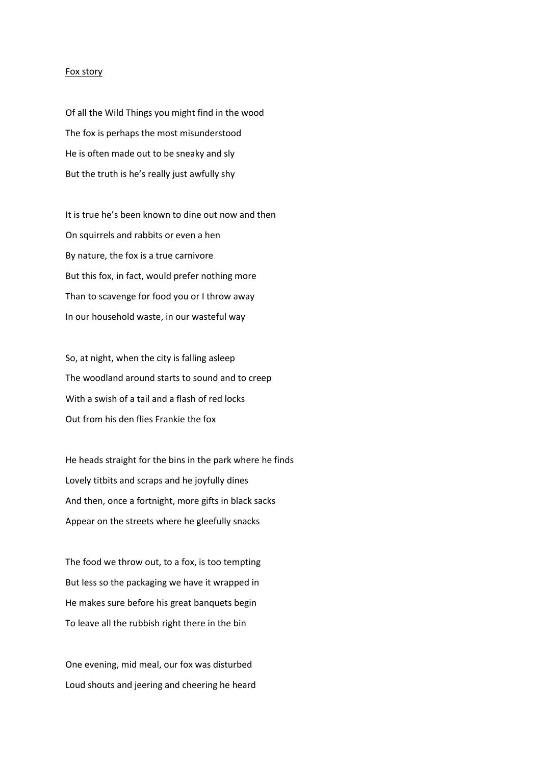## Fox story

Of all the Wild Things you might find in the wood The fox is perhaps the most misunderstood He is often made out to be sneaky and sly But the truth is he's really just awfully shy

It is true he's been known to dine out now and then On squirrels and rabbits or even a hen By nature, the fox is a true carnivore But this fox, in fact, would prefer nothing more Than to scavenge for food you or I throw away In our household waste, in our wasteful way

So, at night, when the city is falling asleep The woodland around starts to sound and to creep With a swish of a tail and a flash of red locks Out from his den flies Frankie the fox

He heads straight for the bins in the park where he finds Lovely titbits and scraps and he joyfully dines And then, once a fortnight, more gifts in black sacks Appear on the streets where he gleefully snacks

The food we throw out, to a fox, is too tempting But less so the packaging we have it wrapped in He makes sure before his great banquets begin To leave all the rubbish right there in the bin

One evening, mid meal, our fox was disturbed Loud shouts and jeering and cheering he heard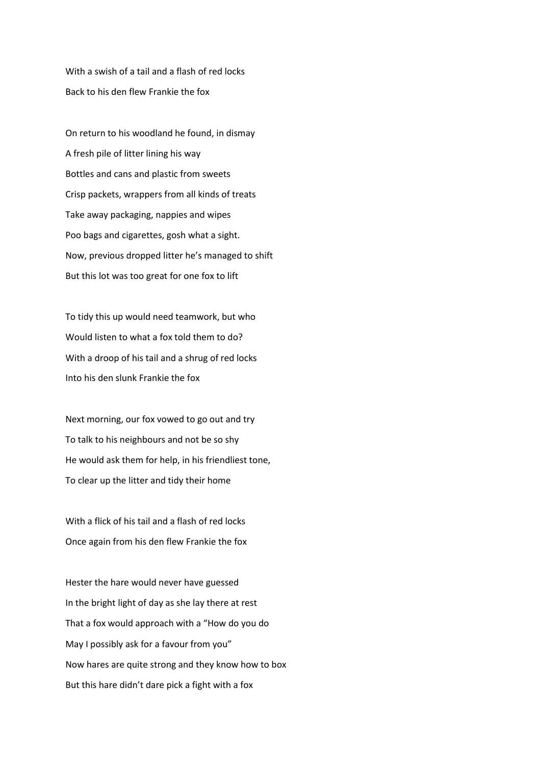With a swish of a tail and a flash of red locks Back to his den flew Frankie the fox

On return to his woodland he found, in dismay A fresh pile of litter lining his way Bottles and cans and plastic from sweets Crisp packets, wrappers from all kinds of treats Take away packaging, nappies and wipes Poo bags and cigarettes, gosh what a sight. Now, previous dropped litter he's managed to shift But this lot was too great for one fox to lift

To tidy this up would need teamwork, but who Would listen to what a fox told them to do? With a droop of his tail and a shrug of red locks Into his den slunk Frankie the fox

Next morning, our fox vowed to go out and try To talk to his neighbours and not be so shy He would ask them for help, in his friendliest tone, To clear up the litter and tidy their home

With a flick of his tail and a flash of red locks Once again from his den flew Frankie the fox

Hester the hare would never have guessed In the bright light of day as she lay there at rest That a fox would approach with a "How do you do May I possibly ask for a favour from you" Now hares are quite strong and they know how to box But this hare didn't dare pick a fight with a fox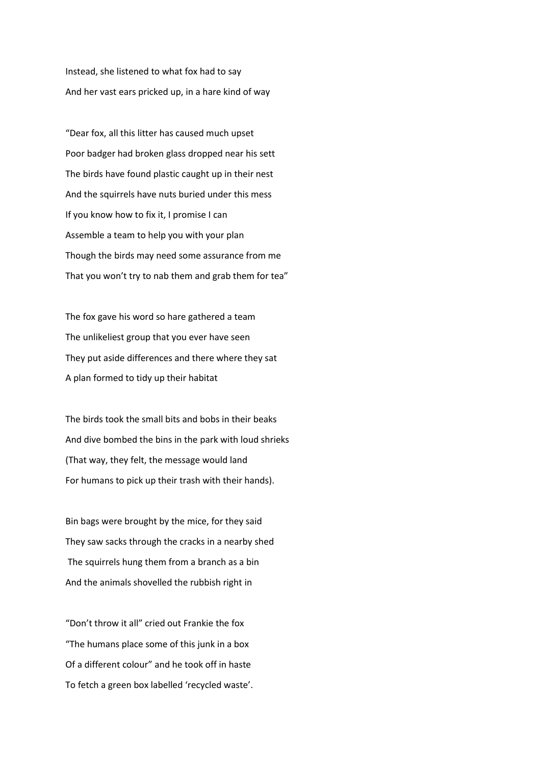Instead, she listened to what fox had to say And her vast ears pricked up, in a hare kind of way

"Dear fox, all this litter has caused much upset Poor badger had broken glass dropped near his sett The birds have found plastic caught up in their nest And the squirrels have nuts buried under this mess If you know how to fix it, I promise I can Assemble a team to help you with your plan Though the birds may need some assurance from me That you won't try to nab them and grab them for tea"

The fox gave his word so hare gathered a team The unlikeliest group that you ever have seen They put aside differences and there where they sat A plan formed to tidy up their habitat

The birds took the small bits and bobs in their beaks And dive bombed the bins in the park with loud shrieks (That way, they felt, the message would land For humans to pick up their trash with their hands).

Bin bags were brought by the mice, for they said They saw sacks through the cracks in a nearby shed The squirrels hung them from a branch as a bin And the animals shovelled the rubbish right in

"Don't throw it all" cried out Frankie the fox "The humans place some of this junk in a box Of a different colour" and he took off in haste To fetch a green box labelled 'recycled waste'.